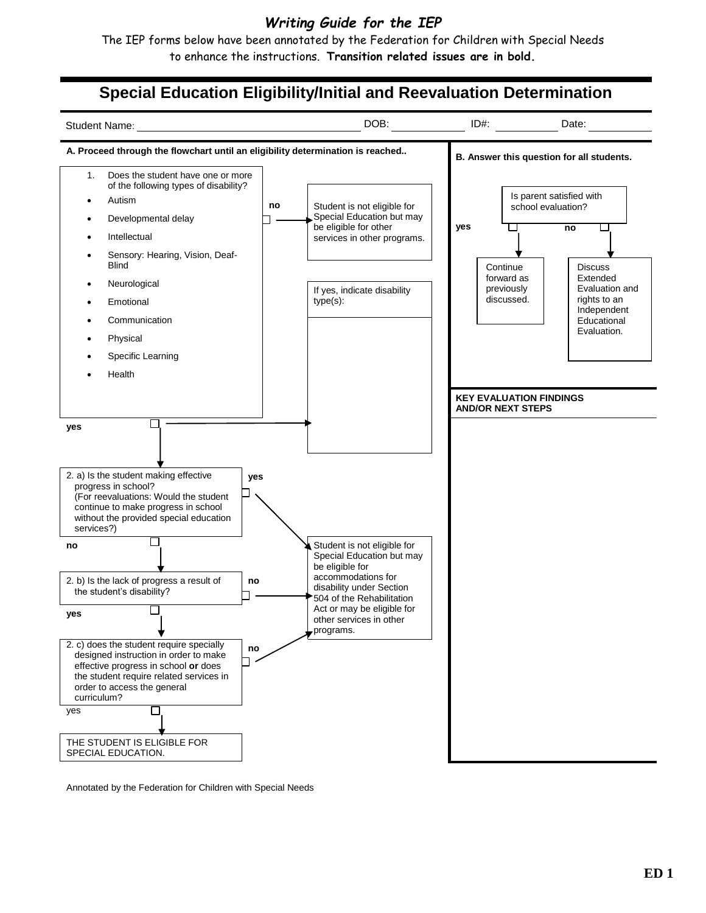## *Writing Guide for the IEP*

The IEP forms below have been annotated by the Federation for Children with Special Needs to enhance the instructions. **Transition related issues are in bold.**

# **Special Education Eligibility/Initial and Reevaluation Determination**



Annotated by the Federation for Children with Special Needs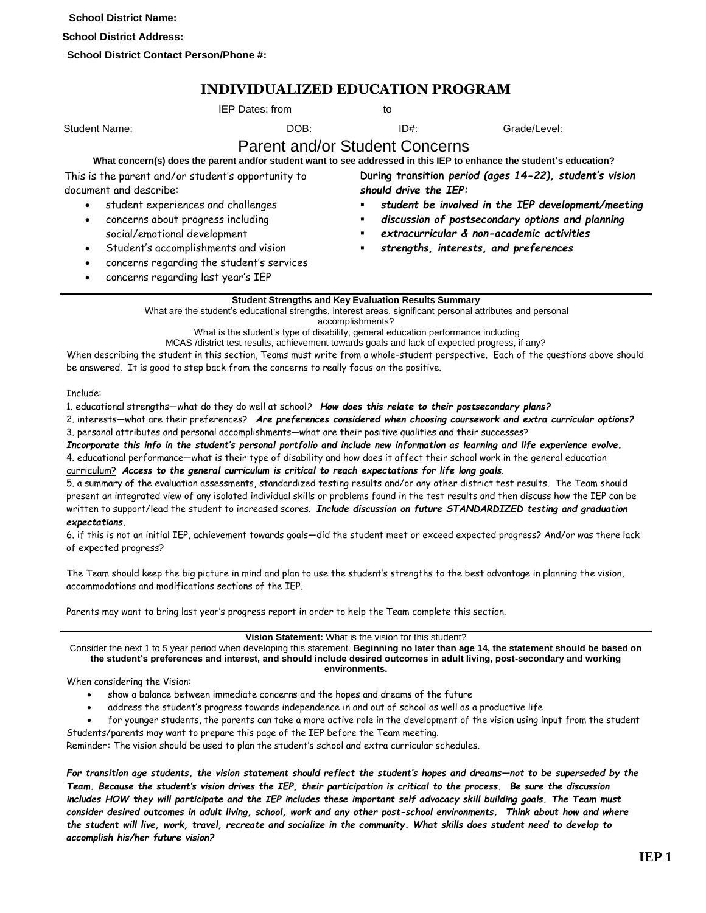**School District Name:**

**School District Address:**

**School District Contact Person/Phone #:**

## **INDIVIDUALIZED EDUCATION PROGRAM**

|                                                                                                                                                                                                                                                 | <b>IEP Dates: from</b>                                                                                                                                                                                                                                                                                                                                                                                                                                     |                  | to                    |                                                                                                                                                                                                                                                                                                                                                                                              |
|-------------------------------------------------------------------------------------------------------------------------------------------------------------------------------------------------------------------------------------------------|------------------------------------------------------------------------------------------------------------------------------------------------------------------------------------------------------------------------------------------------------------------------------------------------------------------------------------------------------------------------------------------------------------------------------------------------------------|------------------|-----------------------|----------------------------------------------------------------------------------------------------------------------------------------------------------------------------------------------------------------------------------------------------------------------------------------------------------------------------------------------------------------------------------------------|
| <b>Student Name:</b>                                                                                                                                                                                                                            | DOB:                                                                                                                                                                                                                                                                                                                                                                                                                                                       |                  | $ID#$ :               | Grade/Level:                                                                                                                                                                                                                                                                                                                                                                                 |
| This is the parent and/or student's opportunity to<br>document and describe:<br>student experiences and challenges<br>concerns about progress including<br>social/emotional development<br>$\bullet$<br>٠<br>concerns regarding last year's IEP | <b>Parent and/or Student Concerns</b><br>Student's accomplishments and vision<br>concerns regarding the student's services                                                                                                                                                                                                                                                                                                                                 | ٠                | should drive the IEP: | What concern(s) does the parent and/or student want to see addressed in this IEP to enhance the student's education?<br>During transition period (ages 14-22), student's vision<br>student be involved in the IEP development/meeting<br>discussion of postsecondary options and planning<br>extracurricular & non-academic activities<br>strengths, interests, and preferences              |
|                                                                                                                                                                                                                                                 | <b>Student Strengths and Key Evaluation Results Summary</b><br>What are the student's educational strengths, interest areas, significant personal attributes and personal<br>What is the student's type of disability, general education performance including<br>MCAS /district test results, achievement towards goals and lack of expected progress, if any?<br>be answered. It is good to step back from the concerns to really focus on the positive. | accomplishments? |                       | When describing the student in this section, Teams must write from a whole-student perspective. Each of the questions above should                                                                                                                                                                                                                                                           |
| Tnclude:                                                                                                                                                                                                                                        | 1. educational strengths—what do they do well at school? How does this relate to their postsecondary plans?<br>3. personal attributes and personal accomplishments—what are their positive qualities and their successes?                                                                                                                                                                                                                                  |                  |                       | 2. interests-what are their preferences? Are preferences considered when choosing coursework and extra curricular options?<br>Incorporate this info in the student's personal portfolio and include new information as learning and life experience evolve.<br>4. educational performance-what is their type of disability and how does it affect their school work in the general education |

curriculum? *Access to the general curriculum is critical to reach expectations for life long goals.* 5. a summary of the evaluation assessments, standardized testing results and/or any other district test results. The Team should present an integrated view of any isolated individual skills or problems found in the test results and then discuss how the IEP can be written to support/lead the student to increased scores. *Include discussion on future STANDARDIZED testing and graduation* 

#### *expectations.*

6. if this is not an initial IEP, achievement towards goals—did the student meet or exceed expected progress? And/or was there lack of expected progress?

The Team should keep the big picture in mind and plan to use the student's strengths to the best advantage in planning the vision, accommodations and modifications sections of the IEP.

Parents may want to bring last year's progress report in order to help the Team complete this section.

**Vision Statement:** What is the vision for this student?

Consider the next 1 to 5 year period when developing this statement. **Beginning no later than age 14, the statement should be based on the student's preferences and interest, and should include desired outcomes in adult living, post-secondary and working environments.**

#### When considering the Vision:

- show a balance between immediate concerns and the hopes and dreams of the future
- address the student's progress towards independence in and out of school as well as a productive life
- for younger students, the parents can take a more active role in the development of the vision using input from the student Students/parents may want to prepare this page of the IEP before the Team meeting.

Reminder**:** The vision should be used to plan the student's school and extra curricular schedules.

*For transition age students, the vision statement should reflect the student's hopes and dreams—not to be superseded by the Team. Because the student's vision drives the IEP, their participation is critical to the process. Be sure the discussion includes HOW they will participate and the IEP includes these important self advocacy skill building goals. The Team must consider desired outcomes in adult living, school, work and any other post-school environments. Think about how and where the student will live, work, travel, recreate and socialize in the community. What skills does student need to develop to accomplish his/her future vision?*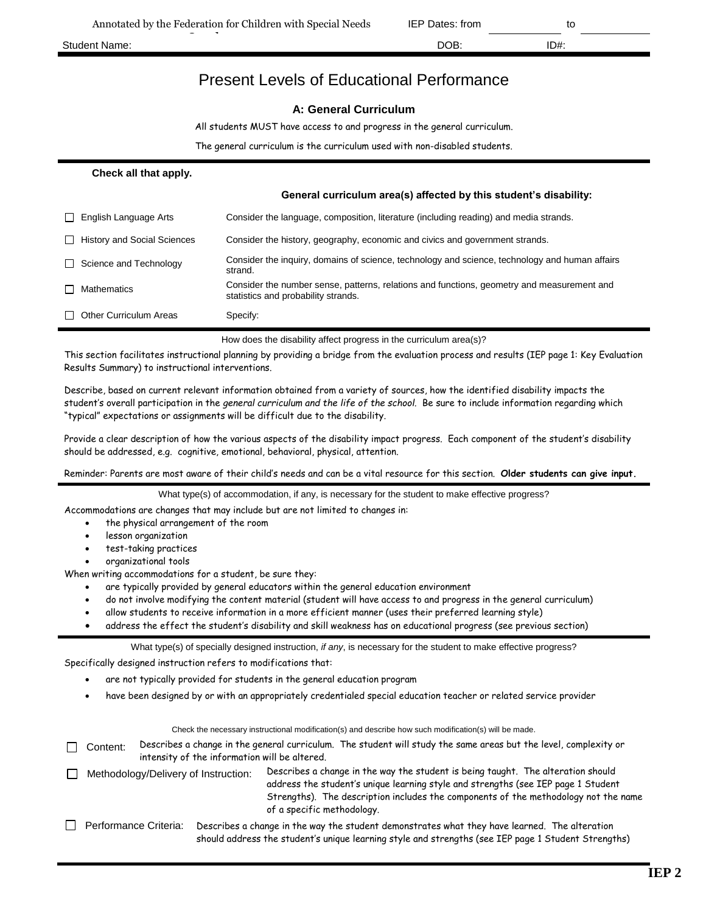## Present Levels of Educational Performance

#### **A: General Curriculum**

All students MUST have access to and progress in the general curriculum.

The general curriculum is the curriculum used with non-disabled students.

#### **Check all that apply.**

|                                                    | General curriculum area(s) affected by this student's disability:                                                                 |
|----------------------------------------------------|-----------------------------------------------------------------------------------------------------------------------------------|
| English Language Arts<br>l 1                       | Consider the language, composition, literature (including reading) and media strands.                                             |
| <b>History and Social Sciences</b><br>$\mathsf{L}$ | Consider the history, geography, economic and civics and government strands.                                                      |
| Science and Technology<br>l 1.                     | Consider the inquiry, domains of science, technology and science, technology and human affairs<br>strand.                         |
| <b>Mathematics</b>                                 | Consider the number sense, patterns, relations and functions, geometry and measurement and<br>statistics and probability strands. |
| <b>Other Curriculum Areas</b><br>L L               | Specify:                                                                                                                          |
|                                                    |                                                                                                                                   |

How does the disability affect progress in the curriculum area(s)?

This section facilitates instructional planning by providing a bridge from the evaluation process and results (IEP page 1: Key Evaluation Results Summary) to instructional interventions.

Describe, based on current relevant information obtained from a variety of sources, how the identified disability impacts the student's overall participation in the *general curriculum and the life of the school.* Be sure to include information regarding which "typical" expectations or assignments will be difficult due to the disability.

Provide a clear description of how the various aspects of the disability impact progress. Each component of the student's disability should be addressed, e.g. cognitive, emotional, behavioral, physical, attention.

Reminder: Parents are most aware of their child's needs and can be a vital resource for this section. **Older students can give input.**

What type(s) of accommodation, if any, is necessary for the student to make effective progress?

Accommodations are changes that may include but are not limited to changes in:

- the physical arrangement of the room
- lesson organization
- test-taking practices
- organizational tools

When writing accommodations for a student, be sure they:

- are typically provided by general educators within the general education environment
- do not involve modifying the content material (student will have access to and progress in the general curriculum)
- allow students to receive information in a more efficient manner (uses their preferred learning style)
- address the effect the student's disability and skill weakness has on educational progress (see previous section)

What type(s) of specially designed instruction, *if any*, is necessary for the student to make effective progress?

Specifically designed instruction refers to modifications that:

- are not typically provided for students in the general education program
- have been designed by or with an appropriately credentialed special education teacher or related service provider

|                       |                                               | Check the necessary instructional modification(s) and describe how such modification(s) will be made.                                                                                                                                                                                      |
|-----------------------|-----------------------------------------------|--------------------------------------------------------------------------------------------------------------------------------------------------------------------------------------------------------------------------------------------------------------------------------------------|
| Content:              | intensity of the information will be altered. | Describes a change in the general curriculum. The student will study the same areas but the level, complexity or                                                                                                                                                                           |
|                       | Methodology/Delivery of Instruction:          | Describes a change in the way the student is being taught. The alteration should<br>address the student's unique learning style and strengths (see IEP page 1 Student<br>Strengths). The description includes the components of the methodology not the name<br>of a specific methodology. |
| Performance Criteria: |                                               | Describes a change in the way the student demonstrates what they have learned. The alteration<br>should address the student's unique learning style and strengths (see IEP page 1 Student Strengths)                                                                                       |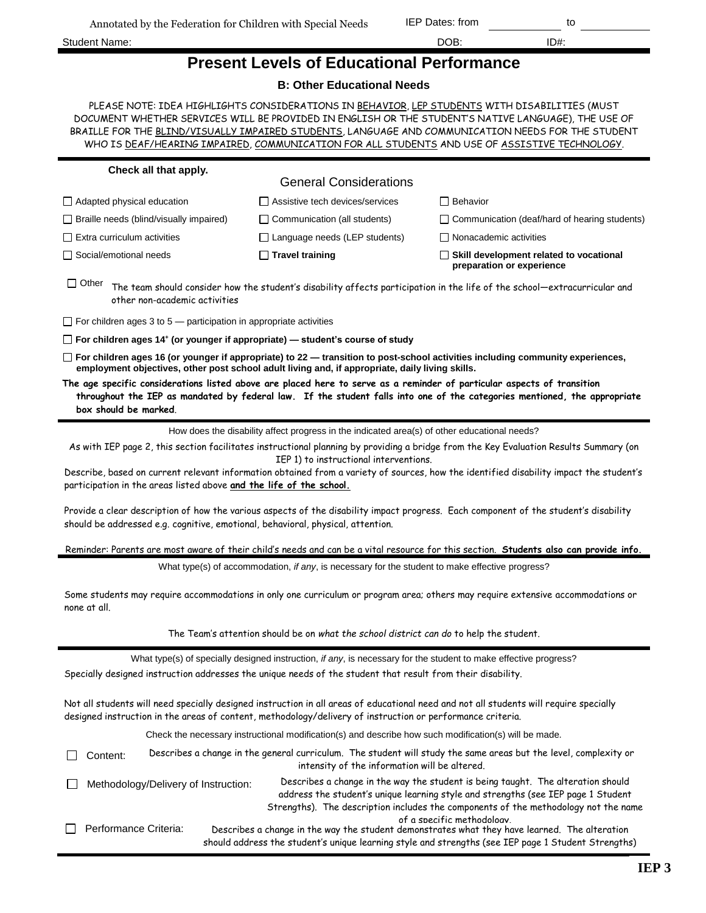Annotated by the Federation for Children with Special Needs

| Student Name: | DOB: | ID#: |
|---------------|------|------|
|               |      |      |

| <b>Present Levels of Educational Performance</b> |  |  |
|--------------------------------------------------|--|--|
|--------------------------------------------------|--|--|

#### **B: Other Educational Needs**

PLEASE NOTE: IDEA HIGHLIGHTS CONSIDERATIONS IN BEHAVIOR, LEP STUDENTS WITH DISABILITIES (MUST DOCUMENT WHETHER SERVICES WILL BE PROVIDED IN ENGLISH OR THE STUDENT'S NATIVE LANGUAGE), THE USE OF BRAILLE FOR THE BLIND/VISUALLY IMPAIRED STUDENTS, LANGUAGE AND COMMUNICATION NEEDS FOR THE STUDENT WHO IS DEAF/HEARING IMPAIRED, COMMUNICATION FOR ALL STUDENTS AND USE OF ASSISTIVE TECHNOLOGY.

| Check all that apply.                                                                                                                            |                                                                                                                                                                                                                         |                                                                                                                                                                                                                                                              |  |  |  |  |
|--------------------------------------------------------------------------------------------------------------------------------------------------|-------------------------------------------------------------------------------------------------------------------------------------------------------------------------------------------------------------------------|--------------------------------------------------------------------------------------------------------------------------------------------------------------------------------------------------------------------------------------------------------------|--|--|--|--|
|                                                                                                                                                  | <b>General Considerations</b>                                                                                                                                                                                           |                                                                                                                                                                                                                                                              |  |  |  |  |
| $\Box$ Adapted physical education                                                                                                                | □ Assistive tech devices/services                                                                                                                                                                                       | <b>Behavior</b>                                                                                                                                                                                                                                              |  |  |  |  |
| $\Box$ Braille needs (blind/visually impaired)                                                                                                   | $\Box$ Communication (all students)                                                                                                                                                                                     | $\Box$ Communication (deaf/hard of hearing students)                                                                                                                                                                                                         |  |  |  |  |
| $\Box$ Extra curriculum activities                                                                                                               | $\Box$ Language needs (LEP students)                                                                                                                                                                                    | $\Box$ Nonacademic activities                                                                                                                                                                                                                                |  |  |  |  |
| Social/emotional needs                                                                                                                           | $\Box$ Travel training                                                                                                                                                                                                  | $\Box$ Skill development related to vocational<br>preparation or experience                                                                                                                                                                                  |  |  |  |  |
| $\Box$ Other<br>other non-academic activities                                                                                                    |                                                                                                                                                                                                                         | The team should consider how the student's disability affects participation in the life of the school-extracurricular and                                                                                                                                    |  |  |  |  |
| $\Box$ For children ages 3 to 5 — participation in appropriate activities                                                                        |                                                                                                                                                                                                                         |                                                                                                                                                                                                                                                              |  |  |  |  |
| $\Box$ For children ages 14 <sup>+</sup> (or younger if appropriate) - student's course of study                                                 |                                                                                                                                                                                                                         |                                                                                                                                                                                                                                                              |  |  |  |  |
|                                                                                                                                                  | employment objectives, other post school adult living and, if appropriate, daily living skills.                                                                                                                         | $\Box$ For children ages 16 (or younger if appropriate) to 22 — transition to post-school activities including community experiences,                                                                                                                        |  |  |  |  |
| The age specific considerations listed above are placed here to serve as a reminder of particular aspects of transition<br>box should be marked. |                                                                                                                                                                                                                         | throughout the IEP as mandated by federal law. If the student falls into one of the categories mentioned, the appropriate                                                                                                                                    |  |  |  |  |
|                                                                                                                                                  | How does the disability affect progress in the indicated area(s) of other educational needs?                                                                                                                            |                                                                                                                                                                                                                                                              |  |  |  |  |
|                                                                                                                                                  |                                                                                                                                                                                                                         | As with IEP page 2, this section facilitates instructional planning by providing a bridge from the Key Evaluation Results Summary (on                                                                                                                        |  |  |  |  |
| participation in the areas listed above and the life of the school.                                                                              | IEP 1) to instructional interventions.                                                                                                                                                                                  | Describe, based on current relevant information obtained from a variety of sources, how the identified disability impact the student's                                                                                                                       |  |  |  |  |
|                                                                                                                                                  | Provide a clear description of how the various aspects of the disability impact progress. Each component of the student's disability<br>should be addressed e.g. cognitive, emotional, behavioral, physical, attention. |                                                                                                                                                                                                                                                              |  |  |  |  |
|                                                                                                                                                  |                                                                                                                                                                                                                         | Reminder: Parents are most aware of their child's needs and can be a vital resource for this section. Students also can provide info.                                                                                                                        |  |  |  |  |
|                                                                                                                                                  | What type(s) of accommodation, if any, is necessary for the student to make effective progress?                                                                                                                         |                                                                                                                                                                                                                                                              |  |  |  |  |
| none at all.                                                                                                                                     | Some students may require accommodations in only one curriculum or program area; others may require extensive accommodations or                                                                                         |                                                                                                                                                                                                                                                              |  |  |  |  |
|                                                                                                                                                  | The Team's attention should be on what the school district can do to help the student.                                                                                                                                  |                                                                                                                                                                                                                                                              |  |  |  |  |
|                                                                                                                                                  | What type(s) of specially designed instruction, if any, is necessary for the student to make effective progress?                                                                                                        |                                                                                                                                                                                                                                                              |  |  |  |  |
|                                                                                                                                                  | Specially designed instruction addresses the unique needs of the student that result from their disability.                                                                                                             |                                                                                                                                                                                                                                                              |  |  |  |  |
|                                                                                                                                                  | designed instruction in the areas of content, methodology/delivery of instruction or performance criteria.                                                                                                              | Not all students will need specially designed instruction in all areas of educational need and not all students will require specially                                                                                                                       |  |  |  |  |
|                                                                                                                                                  | Check the necessary instructional modification(s) and describe how such modification(s) will be made.                                                                                                                   |                                                                                                                                                                                                                                                              |  |  |  |  |
| Content:                                                                                                                                         | intensity of the information will be altered.                                                                                                                                                                           | Describes a change in the general curriculum. The student will study the same areas but the level, complexity or                                                                                                                                             |  |  |  |  |
| Methodology/Delivery of Instruction:                                                                                                             |                                                                                                                                                                                                                         | Describes a change in the way the student is being taught. The alteration should<br>address the student's unique learning style and strengths (see IEP page 1 Student<br>Strengths). The description includes the components of the methodology not the name |  |  |  |  |
| Performance Criteria:                                                                                                                            |                                                                                                                                                                                                                         | of a specific methodoloav.<br>Describes a change in the way the student demonstrates what they have learned. The alteration<br>should address the student's unique learning style and strengths (see IEP page 1 Student Strengths)                           |  |  |  |  |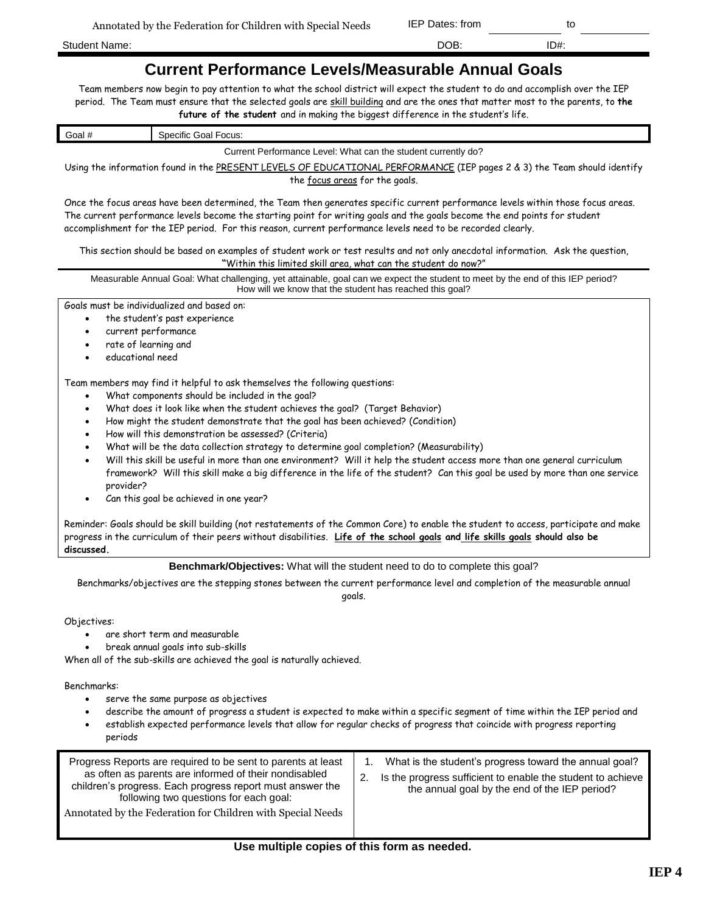Student Name: DOB: ID#:

# **Current Performance Levels/Measurable Annual Goals**

Team members now begin to pay attention to what the school district will expect the student to do and accomplish over the IEP period. The Team must ensure that the selected goals are skill building and are the ones that matter most to the parents, to **the future of the student** and in making the biggest difference in the student's life.

| Goal #                                                                                                                  | Specific Goal Focus:                                          |  |  |  |
|-------------------------------------------------------------------------------------------------------------------------|---------------------------------------------------------------|--|--|--|
|                                                                                                                         | Current Performance Level: What can the student currently do? |  |  |  |
| Using the information found in the PRESENT LEVELS OF EDUCATIONAL PERFORMANCE (IEP pages 2 & 3) the Team should identify |                                                               |  |  |  |

the focus areas for the goals.

Once the focus areas have been determined, the Team then generates specific current performance levels within those focus areas. The current performance levels become the starting point for writing goals and the goals become the end points for student accomplishment for the IEP period. For this reason, current performance levels need to be recorded clearly.

This section should be based on examples of student work or test results and not only anecdotal information. Ask the question, **"**Within this limited skill area, what can the student do now?"

Measurable Annual Goal: What challenging, yet attainable, goal can we expect the student to meet by the end of this IEP period? How will we know that the student has reached this goal?

Goals must be individualized and based on:

- the student's past experience
- current performance
- rate of learning and
- educational need

Team members may find it helpful to ask themselves the following questions:

- What components should be included in the goal?
- What does it look like when the student achieves the goal? (Target Behavior)
- How might the student demonstrate that the goal has been achieved? (Condition)
- How will this demonstration be assessed? (Criteria)
- What will be the data collection strategy to determine goal completion? (Measurability)
- Will this skill be useful in more than one environment? Will it help the student access more than one general curriculum framework? Will this skill make a big difference in the life of the student? Can this goal be used by more than one service provider?
- Can this goal be achieved in one year?

Reminder: Goals should be skill building (not restatements of the Common Core) to enable the student to access, participate and make progress in the curriculum of their peers without disabilities. **Life of the school goals and life skills goals should also be discussed.**

**Benchmark/Objectives:** What will the student need to do to complete this goal?

Benchmarks/objectives are the stepping stones between the current performance level and completion of the measurable annual

goals.

#### Objectives:

- are short term and measurable
- break annual goals into sub-skills

When all of the sub-skills are achieved the goal is naturally achieved.

#### Benchmarks:

- serve the same purpose as objectives
- describe the amount of progress a student is expected to make within a specific segment of time within the IEP period and
- establish expected performance levels that allow for regular checks of progress that coincide with progress reporting periods

| Progress Reports are required to be sent to parents at least<br>as often as parents are informed of their nondisabled<br>children's progress. Each progress report must answer the<br>following two questions for each goal:<br>Annotated by the Federation for Children with Special Needs | What is the student's progress toward the annual goal?<br>Is the progress sufficient to enable the student to achieve<br>the annual goal by the end of the IEP period? |
|---------------------------------------------------------------------------------------------------------------------------------------------------------------------------------------------------------------------------------------------------------------------------------------------|------------------------------------------------------------------------------------------------------------------------------------------------------------------------|
|---------------------------------------------------------------------------------------------------------------------------------------------------------------------------------------------------------------------------------------------------------------------------------------------|------------------------------------------------------------------------------------------------------------------------------------------------------------------------|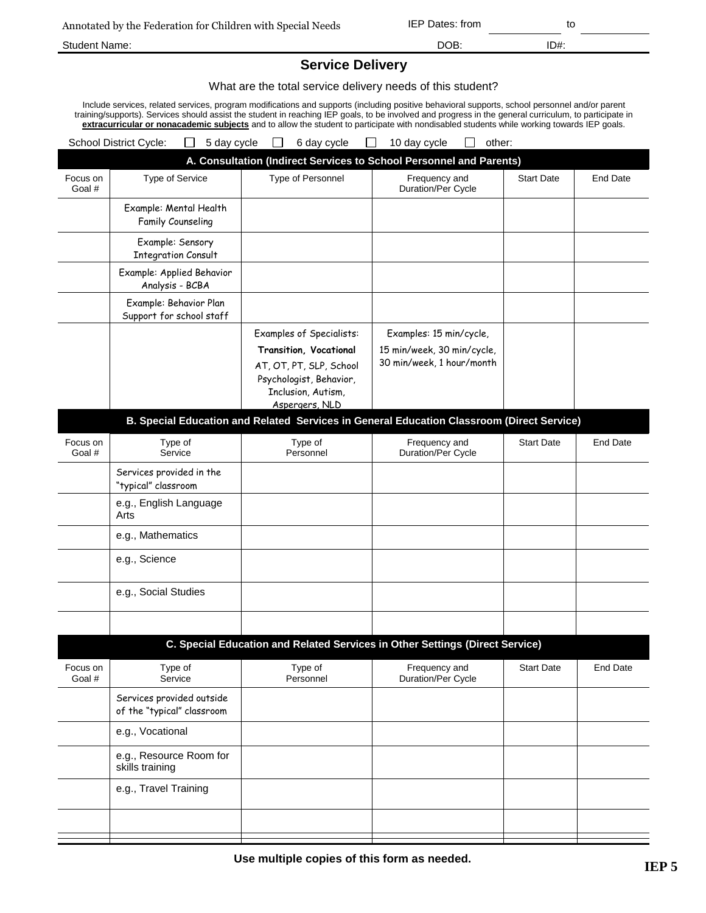|  |  |  | Annotated by the Federation for Children with Special Needs |
|--|--|--|-------------------------------------------------------------|
|--|--|--|-------------------------------------------------------------|

Annotated by the Federation for Children with Special Needs IEP Dates: from to

Student Name: DOB: ID#:

## **Service Delivery**

What are the total service delivery needs of this student?

Include services, related services, program modifications and supports (including positive behavioral supports, school personnel and/or parent training/supports). Services should assist the student in reaching IEP goals, to be involved and progress in the general curriculum, to participate in **extracurricular or nonacademic subjects** and to allow the student to participate with nondisabled students while working towards IEP goals.

|                    | School District Cycle:<br>5 day cycle                                                     |                                                                                                                      | 6 day cycle | 10 day cycle                                                                 | other: |                   |                 |
|--------------------|-------------------------------------------------------------------------------------------|----------------------------------------------------------------------------------------------------------------------|-------------|------------------------------------------------------------------------------|--------|-------------------|-----------------|
|                    |                                                                                           |                                                                                                                      |             | A. Consultation (Indirect Services to School Personnel and Parents)          |        |                   |                 |
| Focus on<br>Goal # | Type of Service                                                                           | Type of Personnel                                                                                                    |             | Frequency and<br>Duration/Per Cycle                                          |        | <b>Start Date</b> | <b>End Date</b> |
|                    | Example: Mental Health<br>Family Counseling                                               |                                                                                                                      |             |                                                                              |        |                   |                 |
|                    | Example: Sensory<br><b>Integration Consult</b>                                            |                                                                                                                      |             |                                                                              |        |                   |                 |
|                    | Example: Applied Behavior<br>Analysis - BCBA                                              |                                                                                                                      |             |                                                                              |        |                   |                 |
|                    | Example: Behavior Plan<br>Support for school staff                                        |                                                                                                                      |             |                                                                              |        |                   |                 |
|                    |                                                                                           | <b>Examples of Specialists:</b>                                                                                      |             | Examples: 15 min/cycle,                                                      |        |                   |                 |
|                    |                                                                                           | Transition, Vocational<br>AT, OT, PT, SLP, School<br>Psychologist, Behavior,<br>Inclusion, Autism,<br>Aspergers, NLD |             | 15 min/week, 30 min/cycle,<br>30 min/week, 1 hour/month                      |        |                   |                 |
|                    | B. Special Education and Related Services in General Education Classroom (Direct Service) |                                                                                                                      |             |                                                                              |        |                   |                 |
| Focus on<br>Goal # | Type of<br>Service                                                                        | Type of<br>Personnel                                                                                                 |             | Frequency and<br>Duration/Per Cycle                                          |        | <b>Start Date</b> | <b>End Date</b> |
|                    | Services provided in the<br>"typical" classroom                                           |                                                                                                                      |             |                                                                              |        |                   |                 |
|                    | e.g., English Language<br>Arts                                                            |                                                                                                                      |             |                                                                              |        |                   |                 |
|                    | e.g., Mathematics                                                                         |                                                                                                                      |             |                                                                              |        |                   |                 |
|                    | e.g., Science                                                                             |                                                                                                                      |             |                                                                              |        |                   |                 |
|                    | e.g., Social Studies                                                                      |                                                                                                                      |             |                                                                              |        |                   |                 |
|                    |                                                                                           |                                                                                                                      |             |                                                                              |        |                   |                 |
|                    |                                                                                           |                                                                                                                      |             | C. Special Education and Related Services in Other Settings (Direct Service) |        |                   |                 |
| Focus on<br>Goal # | Type of<br>Service                                                                        | Type of<br>Personnel                                                                                                 |             | Frequency and<br>Duration/Per Cycle                                          |        | <b>Start Date</b> | <b>End Date</b> |
|                    | Services provided outside<br>of the "typical" classroom                                   |                                                                                                                      |             |                                                                              |        |                   |                 |
|                    | e.g., Vocational                                                                          |                                                                                                                      |             |                                                                              |        |                   |                 |
|                    | e.g., Resource Room for<br>skills training                                                |                                                                                                                      |             |                                                                              |        |                   |                 |
|                    | e.g., Travel Training                                                                     |                                                                                                                      |             |                                                                              |        |                   |                 |
|                    |                                                                                           |                                                                                                                      |             |                                                                              |        |                   |                 |
|                    |                                                                                           |                                                                                                                      |             |                                                                              |        |                   |                 |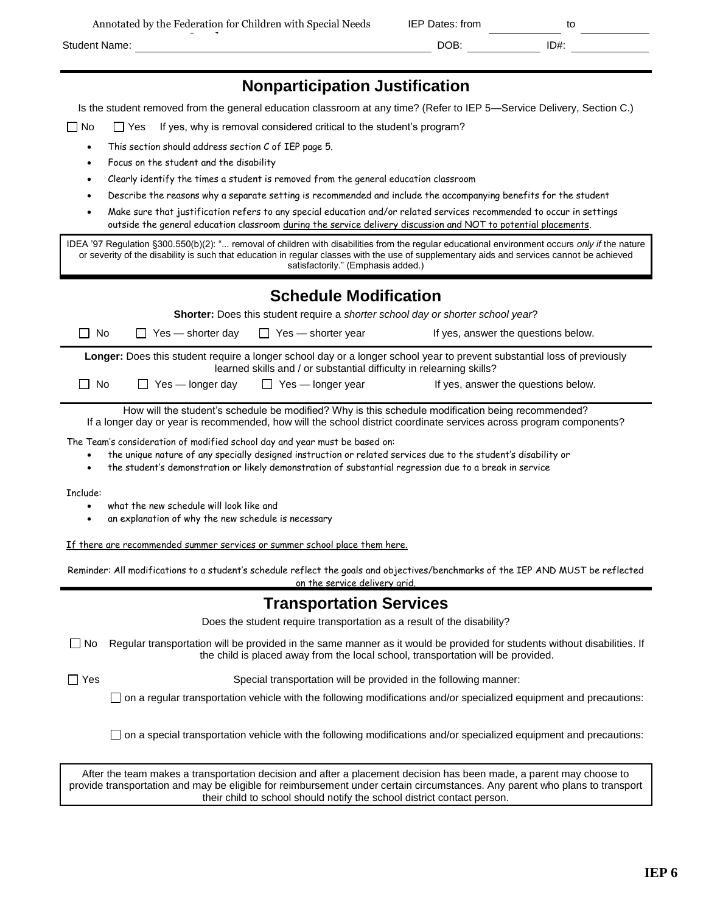|               | Annotated by the Federation for Children with Special Needs | IEP Dates: from |      |
|---------------|-------------------------------------------------------------|-----------------|------|
| Student Name: |                                                             | DOB:            | ID#: |
|               |                                                             |                 |      |

Is the student removed from the general education classroom at any time? (Refer to IEP 5—Service Delivery, Section C.)

 $\Box$  No  $\Box$  Yes If yes, why is removal considered critical to the student's program?

- This section should address section C of IEP page 5.
- Focus on the student and the disability
- Clearly identify the times a student is removed from the general education classroom
- Describe the reasons why a separate setting is recommended and include the accompanying benefits for the student
- Make sure that justification refers to any special education and/or related services recommended to occur in settings outside the general education classroom during the service delivery discussion and NOT to potential placements.

IDEA '97 Regulation §300.550(b)(2): "... removal of children with disabilities from the regular educational environment occurs *only if* the nature or severity of the disability is such that education in regular classes with the use of supplementary aids and services cannot be achieved satisfactorily." (Emphasis added.)

## **Schedule Modification**

| $\Box$ No | $\Box$ Yes — shorter day | $\Box$ Yes — shorter year                                            | If yes, answer the questions below.                                                                                     |
|-----------|--------------------------|----------------------------------------------------------------------|-------------------------------------------------------------------------------------------------------------------------|
|           |                          | learned skills and / or substantial difficulty in relearning skills? | Longer: Does this student require a longer school day or a longer school year to prevent substantial loss of previously |
| $\Box$ No | $\Box$ Yes — longer day  | $\Box$ Yes — longer year                                             | If yes, answer the questions below.                                                                                     |

How will the student's schedule be modified? Why is this schedule modification being recommended? If a longer day or year is recommended, how will the school district coordinate services across program components?

The Team's consideration of modified school day and year must be based on:

- the unique nature of any specially designed instruction or related services due to the student's disability or
- the student's demonstration or likely demonstration of substantial regression due to a break in service

Include:

- what the new schedule will look like and
- an explanation of why the new schedule is necessary

If there are recommended summer services or summer school place them here.

Reminder: All modifications to a student's schedule reflect the goals and objectives/benchmarks of the IEP AND MUST be reflected on the service delivery grid.

## **Transportation Services**

Does the student require transportation as a result of the disability?

 $\Box$  No Regular transportation will be provided in the same manner as it would be provided for students without disabilities. If the child is placed away from the local school, transportation will be provided.

 $\Box$  Yes  $\Box$  Yes Special transportation will be provided in the following manner:

 $\Box$  on a regular transportation vehicle with the following modifications and/or specialized equipment and precautions:

 $\Box$  on a special transportation vehicle with the following modifications and/or specialized equipment and precautions:

After the team makes a transportation decision and after a placement decision has been made, a parent may choose to provide transportation and may be eligible for reimbursement under certain circumstances. Any parent who plans to transport their child to school should notify the school district contact person.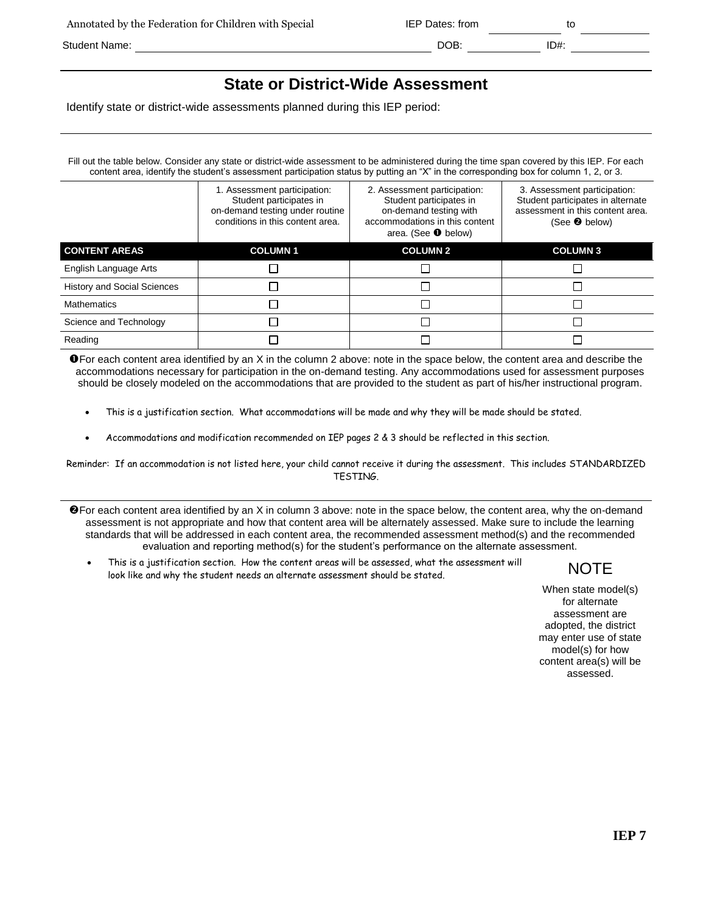| Annotated by the Federation for Children with Special | IEP Dates: from |      |
|-------------------------------------------------------|-----------------|------|
| Student Name:                                         | DOB:            | ID#: |

# **State or District-Wide Assessment**

Identify state or district-wide assessments planned during this IEP period:

Fill out the table below. Consider any state or district-wide assessment to be administered during the time span covered by this IEP. For each content area, identify the student's assessment participation status by putting an "X" in the corresponding box for column 1, 2, or 3.

|                                    | 1. Assessment participation:<br>Student participates in<br>on-demand testing under routine<br>conditions in this content area. | 2. Assessment participation:<br>Student participates in<br>on-demand testing with<br>accommodations in this content<br>area. (See $\bullet$ below) | 3. Assessment participation:<br>Student participates in alternate<br>assessment in this content area.<br>(See $\bullet$ below) |
|------------------------------------|--------------------------------------------------------------------------------------------------------------------------------|----------------------------------------------------------------------------------------------------------------------------------------------------|--------------------------------------------------------------------------------------------------------------------------------|
| <b>CONTENT AREAS</b>               | <b>COLUMN1</b>                                                                                                                 | <b>COLUMN 2</b>                                                                                                                                    | <b>COLUMN3</b>                                                                                                                 |
| English Language Arts              |                                                                                                                                |                                                                                                                                                    |                                                                                                                                |
| <b>History and Social Sciences</b> |                                                                                                                                |                                                                                                                                                    |                                                                                                                                |
| <b>Mathematics</b>                 |                                                                                                                                |                                                                                                                                                    |                                                                                                                                |
| Science and Technology             |                                                                                                                                |                                                                                                                                                    |                                                                                                                                |
| Reading                            |                                                                                                                                |                                                                                                                                                    |                                                                                                                                |

**O** For each content area identified by an X in the column 2 above: note in the space below, the content area and describe the accommodations necessary for participation in the on-demand testing. Any accommodations used for assessment purposes should be closely modeled on the accommodations that are provided to the student as part of his/her instructional program.

- This is a justification section. What accommodations will be made and why they will be made should be stated.
- Accommodations and modification recommended on IEP pages 2 & 3 should be reflected in this section.

Reminder: If an accommodation is not listed here, your child cannot receive it during the assessment. This includes STANDARDIZED TESTING.

- **O** For each content area identified by an X in column 3 above: note in the space below, the content area, why the on-demand assessment is not appropriate and how that content area will be alternately assessed. Make sure to include the learning standards that will be addressed in each content area, the recommended assessment method(s) and the recommended evaluation and reporting method(s) for the student's performance on the alternate assessment.
	- This is a justification section. How the content areas will be assessed, what the assessment will This is a justification section. How the content areas will be assessed, what the assessment will  $\blacksquare$   $\blacksquare$   $\blacksquare$

When state model(s) for alternate assessment are adopted, the district may enter use of state model(s) for how content area(s) will be assessed.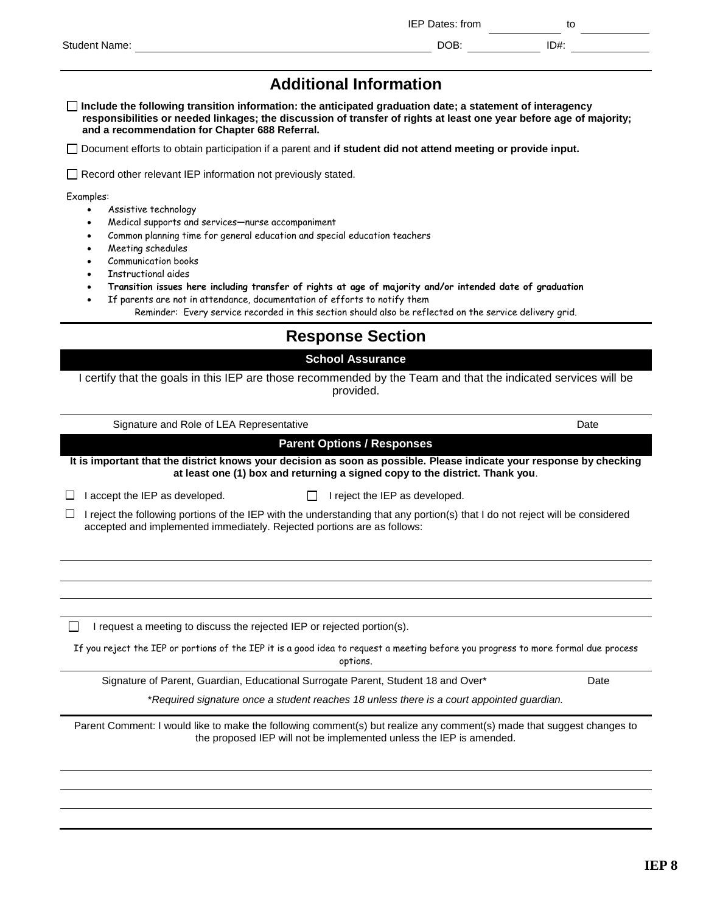|                      | IEP Dates: from |      | ιυ |
|----------------------|-----------------|------|----|
| <b>Student Name:</b> | DOB:            | ID#: |    |
|                      |                 |      |    |

# **Additional Information**

**Include the following transition information: the anticipated graduation date; a statement of interagency responsibilities or needed linkages; the discussion of transfer of rights at least one year before age of majority; and a recommendation for Chapter 688 Referral.**

Document efforts to obtain participation if a parent and **if student did not attend meeting or provide input.**

□ Record other relevant IEP information not previously stated.

Examples:

- Assistive technology
- Medical supports and services—nurse accompaniment
- Common planning time for general education and special education teachers
- Meeting schedules
- Communication books
- Instructional aides
- **Transition issues here including transfer of rights at age of majority and/or intended date of graduation**
- If parents are not in attendance, documentation of efforts to notify them
	- Reminder: Every service recorded in this section should also be reflected on the service delivery grid.

## **Response Section**

## **School Assurance**

I certify that the goals in this IEP are those recommended by the Team and that the indicated services will be provided.

| Signature and Role of LEA Representative                                                                                                                                                                 | Date |  |  |  |  |
|----------------------------------------------------------------------------------------------------------------------------------------------------------------------------------------------------------|------|--|--|--|--|
| <b>Parent Options / Responses</b>                                                                                                                                                                        |      |  |  |  |  |
| It is important that the district knows your decision as soon as possible. Please indicate your response by checking<br>at least one (1) box and returning a signed copy to the district. Thank you.     |      |  |  |  |  |
| I accept the IEP as developed.<br>I reject the IEP as developed.                                                                                                                                         |      |  |  |  |  |
| I reject the following portions of the IEP with the understanding that any portion(s) that I do not reject will be considered<br>accepted and implemented immediately. Rejected portions are as follows: |      |  |  |  |  |
|                                                                                                                                                                                                          |      |  |  |  |  |
|                                                                                                                                                                                                          |      |  |  |  |  |
|                                                                                                                                                                                                          |      |  |  |  |  |
| I request a meeting to discuss the rejected IEP or rejected portion(s).                                                                                                                                  |      |  |  |  |  |
| If you reject the IEP or portions of the IEP it is a good idea to request a meeting before you progress to more formal due process<br>options.                                                           |      |  |  |  |  |
| Signature of Parent, Guardian, Educational Surrogate Parent, Student 18 and Over*                                                                                                                        | Date |  |  |  |  |
| *Required signature once a student reaches 18 unless there is a court appointed guardian.                                                                                                                |      |  |  |  |  |
| Parent Comment: I would like to make the following comment(s) but realize any comment(s) made that suggest changes to<br>the proposed IEP will not be implemented unless the IEP is amended.             |      |  |  |  |  |
|                                                                                                                                                                                                          |      |  |  |  |  |
|                                                                                                                                                                                                          |      |  |  |  |  |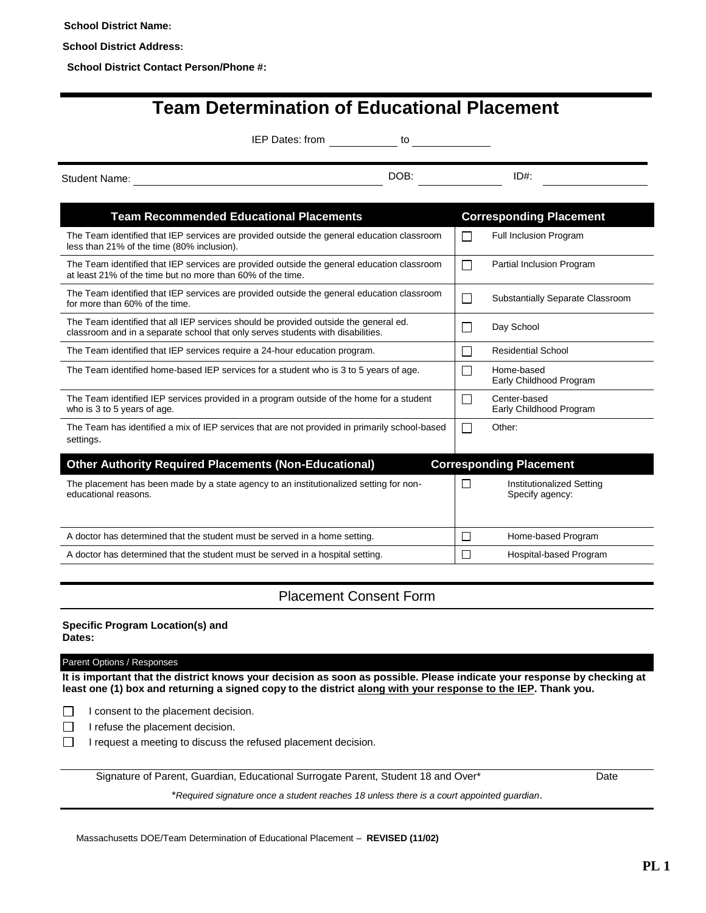**School District Name:**

**School District Address:**

**School District Contact Person/Phone #:**

# **Team Determination of Educational Placement**

IEP Dates: from to to to the matrix of the to the matrix of the to the to the matrix of the to the to the to the to the to the to the to the to the to the to the to the to the to the to the to the to the to the to the to t

Student Name: DOB: ID#:

| <b>Team Recommended Educational Placements</b>                                                                                                                          |                | <b>Corresponding Placement</b>               |
|-------------------------------------------------------------------------------------------------------------------------------------------------------------------------|----------------|----------------------------------------------|
| The Team identified that IEP services are provided outside the general education classroom<br>less than 21% of the time (80% inclusion).                                |                | Full Inclusion Program                       |
| The Team identified that IEP services are provided outside the general education classroom<br>at least 21% of the time but no more than 60% of the time.                |                | Partial Inclusion Program                    |
| The Team identified that IEP services are provided outside the general education classroom<br>for more than 60% of the time.                                            | ٦              | Substantially Separate Classroom             |
| The Team identified that all IEP services should be provided outside the general ed.<br>classroom and in a separate school that only serves students with disabilities. | ×.             | Day School                                   |
| The Team identified that IEP services require a 24-hour education program.                                                                                              | $\mathcal{L}$  | <b>Residential School</b>                    |
| The Team identified home-based IEP services for a student who is 3 to 5 years of age.                                                                                   | <b>College</b> | Home-based<br>Early Childhood Program        |
| The Team identified IEP services provided in a program outside of the home for a student<br>who is 3 to 5 years of age.                                                 | $\sim$         | Center-based<br>Early Childhood Program      |
| The Team has identified a mix of IEP services that are not provided in primarily school-based<br>settings.                                                              |                | Other:                                       |
| <b>Other Authority Required Placements (Non-Educational)</b>                                                                                                            |                | <b>Corresponding Placement</b>               |
| The placement has been made by a state agency to an institutionalized setting for non-<br>educational reasons.                                                          | П              | Institutionalized Setting<br>Specify agency: |
| A doctor has determined that the student must be served in a home setting.                                                                                              | П              | Home-based Program                           |

## Placement Consent Form

A doctor has determined that the student must be served in a hospital setting.  $\Box$  Hospital-based Program

**Specific Program Location(s) and Dates:**

Parent Options / Responses

**It is important that the district knows your decision as soon as possible. Please indicate your response by checking at least one (1) box and returning a signed copy to the district along with your response to the IEP. Thank you.**

 $\Box$  I consent to the placement decision.

 $\Box$  I refuse the placement decision.

 $\Box$  I request a meeting to discuss the refused placement decision.

Signature of Parent, Guardian, Educational Surrogate Parent, Student 18 and Over\* Date

\**Required signature once a student reaches 18 unless there is a court appointed guardian*.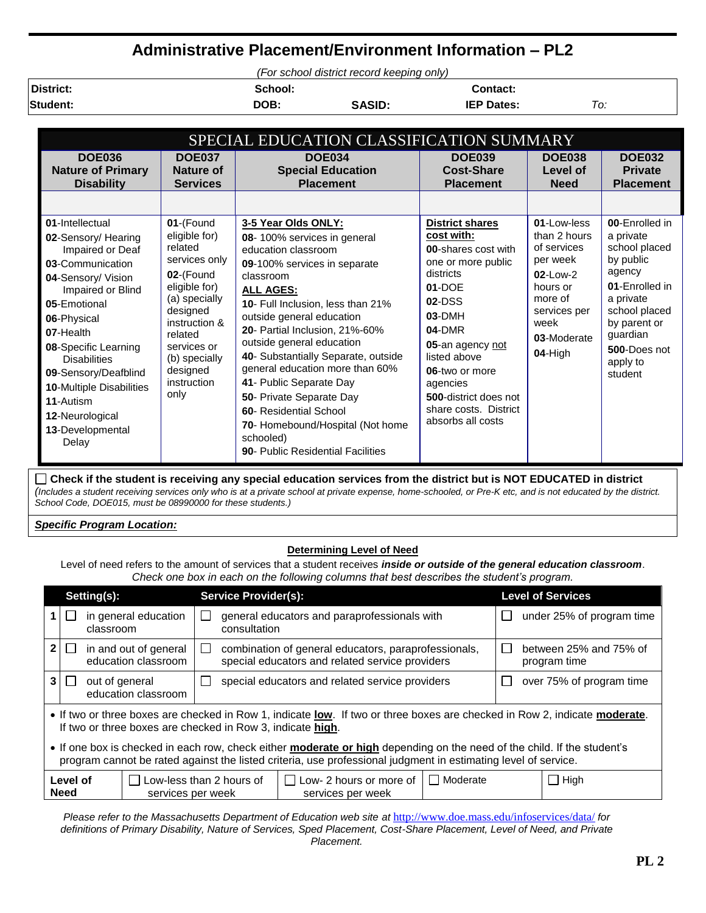# **Administrative Placement/Environment Information – PL2**

*(For school district record keeping only)*

**District: School: Contact:**

**Student: DOB: SASID: IEP Dates:** *To:*

| SPECIAL EDUCATION CLASSIFICATION SUMMARY                                                                                                                                                                                                                                                                                                     |                                                                                                                                                                                                                  |                                                                                                                                                                                                                                                                                                                                                                                                                                                                                                                                            |                                                                                                                                                                                                                                                                                               |                                                                                                                                                      |                                                                                                                                                                                        |  |
|----------------------------------------------------------------------------------------------------------------------------------------------------------------------------------------------------------------------------------------------------------------------------------------------------------------------------------------------|------------------------------------------------------------------------------------------------------------------------------------------------------------------------------------------------------------------|--------------------------------------------------------------------------------------------------------------------------------------------------------------------------------------------------------------------------------------------------------------------------------------------------------------------------------------------------------------------------------------------------------------------------------------------------------------------------------------------------------------------------------------------|-----------------------------------------------------------------------------------------------------------------------------------------------------------------------------------------------------------------------------------------------------------------------------------------------|------------------------------------------------------------------------------------------------------------------------------------------------------|----------------------------------------------------------------------------------------------------------------------------------------------------------------------------------------|--|
| <b>DOE036</b><br><b>Nature of Primary</b><br><b>Disability</b>                                                                                                                                                                                                                                                                               | <b>DOE037</b><br><b>Nature of</b><br><b>Services</b>                                                                                                                                                             | <b>DOE034</b><br><b>Special Education</b><br><b>Placement</b>                                                                                                                                                                                                                                                                                                                                                                                                                                                                              | <b>DOE039</b><br><b>Cost-Share</b><br><b>Placement</b>                                                                                                                                                                                                                                        | <b>DOE038</b><br>Level of<br><b>Need</b>                                                                                                             | <b>DOE032</b><br><b>Private</b><br><b>Placement</b>                                                                                                                                    |  |
| 01-Intellectual<br>02-Sensory/ Hearing<br>Impaired or Deaf<br>03-Communication<br>04-Sensory/ Vision<br>Impaired or Blind<br>05-Emotional<br>06-Physical<br>07-Health<br>08-Specific Learning<br><b>Disabilities</b><br>09-Sensory/Deafblind<br><b>10-Multiple Disabilities</b><br>11-Autism<br>12-Neurological<br>13-Developmental<br>Delay | 01-(Found<br>eligible for)<br>related<br>services only<br>02-(Found<br>eligible for)<br>(a) specially<br>designed<br>instruction &<br>related<br>services or<br>(b) specially<br>designed<br>instruction<br>only | 3-5 Year Olds ONLY:<br>08-100% services in general<br>education classroom<br>09-100% services in separate<br>classroom<br><b>ALL AGES:</b><br><b>10- Full Inclusion, less than 21%</b><br>outside general education<br>20- Partial Inclusion, 21%-60%<br>outside general education<br>40- Substantially Separate, outside<br>general education more than 60%<br>41- Public Separate Day<br>50- Private Separate Day<br>60- Residential School<br>70- Homebound/Hospital (Not home<br>schooled)<br><b>90- Public Residential Facilities</b> | <b>District shares</b><br>cost with:<br>00-shares cost with<br>one or more public<br>districts<br>$01-DOF$<br>$02$ -DSS<br>$03-DMH$<br><b>04-DMR</b><br>05-an agency not<br>listed above<br>06-two or more<br>agencies<br>500-district does not<br>share costs. District<br>absorbs all costs | 01-Low-less<br>than 2 hours<br>of services<br>per week<br>$02 - L$ $0w - 2$<br>hours or<br>more of<br>services per<br>week<br>03-Moderate<br>04-High | 00-Enrolled in<br>a private<br>school placed<br>by public<br>agency<br>01-Enrolled in<br>a private<br>school placed<br>by parent or<br>guardian<br>500-Does not<br>apply to<br>student |  |

**Check if the student is receiving any special education services from the district but is NOT EDUCATED in district** *(Includes a student receiving services only who is at a private school at private expense, home-schooled, or Pre-K etc, and is not educated by the district. School Code, DOE015, must be 08990000 for these students.)*

## *Specific Program Location:*

## **Determining Level of Need**

Level of need refers to the amount of services that a student receives *inside or outside of the general education classroom*. *Check one box in each on the following columns that best describes the student's program.*

|                                                                                                                                                                                                                                                                                                                     |              | Setting(s):                                  | <b>Service Provider(s):</b>                                                                                                         | <b>Level of Services</b>               |  |
|---------------------------------------------------------------------------------------------------------------------------------------------------------------------------------------------------------------------------------------------------------------------------------------------------------------------|--------------|----------------------------------------------|-------------------------------------------------------------------------------------------------------------------------------------|----------------------------------------|--|
|                                                                                                                                                                                                                                                                                                                     |              | in general education<br>classroom            | general educators and paraprofessionals with<br>$\sim$<br>consultation                                                              | under 25% of program time              |  |
| 2 <sub>1</sub>                                                                                                                                                                                                                                                                                                      | $\mathsf{L}$ | in and out of general<br>education classroom | combination of general educators, paraprofessionals,<br>$\overline{\phantom{a}}$<br>special educators and related service providers | between 25% and 75% of<br>program time |  |
| 3 <sup>1</sup>                                                                                                                                                                                                                                                                                                      | $\sim$       | out of general<br>education classroom        | special educators and related service providers<br>$\overline{\phantom{0}}$                                                         | over 75% of program time               |  |
| • If two or three boxes are checked in Row 1, indicate low. If two or three boxes are checked in Row 2, indicate moderate.<br>If two or three boxes are checked in Row 3, indicate high.<br>• If one box is checked in each row, check either moderate or high depending on the need of the child. If the student's |              |                                              |                                                                                                                                     |                                        |  |
| program cannot be rated against the listed criteria, use professional judgment in estimating level of service.                                                                                                                                                                                                      |              |                                              |                                                                                                                                     |                                        |  |
| $\Box$ Moderate<br>$\Box$ High<br>Level of<br>Low-less than 2 hours of<br>Low- 2 hours or more of<br><b>Need</b><br>services per week<br>services per week                                                                                                                                                          |              |                                              |                                                                                                                                     |                                        |  |

*Please refer to the Massachusetts Department of Education web site at <http://www.doe.mass.edu/infoservices/data/> for* definitions of Primary Disability, Nature of Services, Sped Placement, Cost-Share Placement, Level of Need, and Private *Placement.*